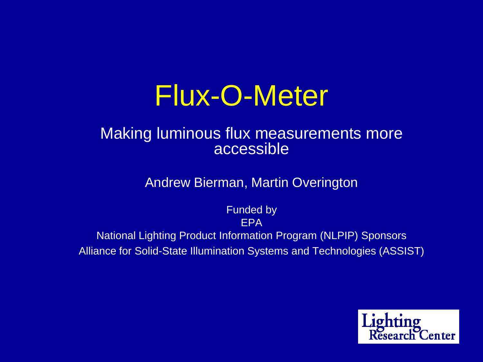

#### Making luminous flux measurements more accessible

Andrew Bierman, Martin Overington

Funded by EPA

National Lighting Product Information Program (NLPIP) Sponsors Alliance for Solid-State Illumination Systems and Technologies (ASSIST)

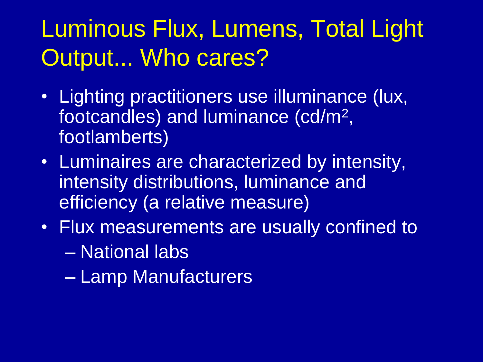# Luminous Flux, Lumens, Total Light Output... Who cares?

- Lighting practitioners use illuminance (lux, footcandles) and luminance (cd/m<sup>2</sup>, footlamberts)
- Luminaires are characterized by intensity, intensity distributions, luminance and efficiency (a relative measure)
- Flux measurements are usually confined to – National labs
	- Lamp Manufacturers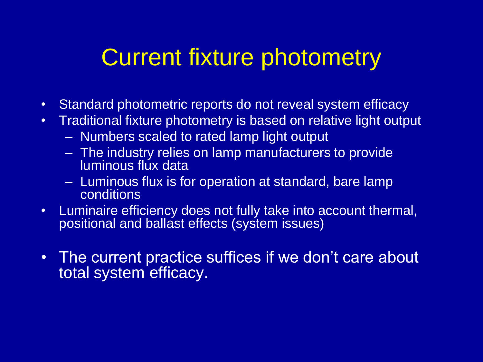## Current fixture photometry

- Standard photometric reports do not reveal system efficacy
- Traditional fixture photometry is based on relative light output
	- Numbers scaled to rated lamp light output
	- The industry relies on lamp manufacturers to provide luminous flux data
	- Luminous flux is for operation at standard, bare lamp conditions
- Luminaire efficiency does not fully take into account thermal, positional and ballast effects (system issues)
- The current practice suffices if we don't care about total system efficacy.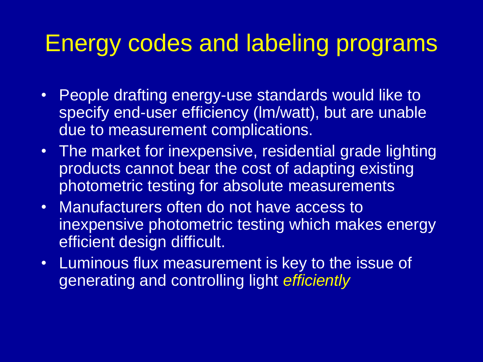#### Energy codes and labeling programs

- People drafting energy-use standards would like to specify end-user efficiency (lm/watt), but are unable due to measurement complications.
- The market for inexpensive, residential grade lighting products cannot bear the cost of adapting existing photometric testing for absolute measurements
- Manufacturers often do not have access to inexpensive photometric testing which makes energy efficient design difficult.
- Luminous flux measurement is key to the issue of generating and controlling light *efficiently*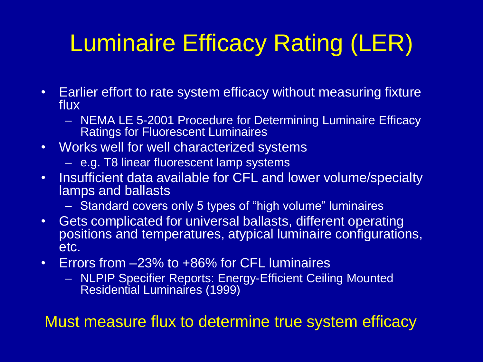# Luminaire Efficacy Rating (LER)

- Earlier effort to rate system efficacy without measuring fixture flux
	- NEMA LE 5-2001 Procedure for Determining Luminaire Efficacy Ratings for Fluorescent Luminaires
- Works well for well characterized systems
	- e.g. T8 linear fluorescent lamp systems
- Insufficient data available for CFL and lower volume/specialty lamps and ballasts
	- Standard covers only 5 types of "high volume" luminaires
- Gets complicated for universal ballasts, different operating positions and temperatures, atypical luminaire configurations, etc.
- Errors from –23% to +86% for CFL luminaires
	- NLPIP Specifier Reports: Energy-Efficient Ceiling Mounted Residential Luminaires (1999)

#### Must measure flux to determine true system efficacy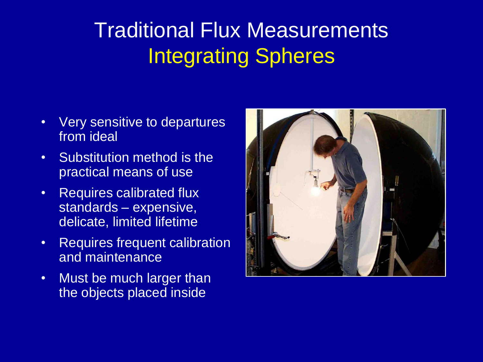## Traditional Flux Measurements Integrating Spheres

- Very sensitive to departures from ideal
- Substitution method is the practical means of use
- Requires calibrated flux standards – expensive, delicate, limited lifetime
- Requires frequent calibration and maintenance
- Must be much larger than the objects placed inside

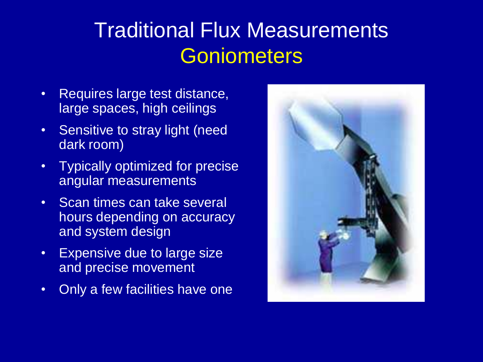#### Traditional Flux Measurements **Goniometers**

- Requires large test distance, large spaces, high ceilings
- Sensitive to stray light (need dark room)
- Typically optimized for precise angular measurements
- Scan times can take several hours depending on accuracy and system design
- Expensive due to large size and precise movement
- Only a few facilities have one

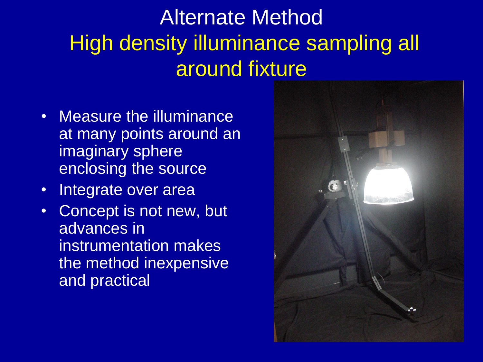## Alternate Method High density illuminance sampling all around fixture

- Measure the illuminance at many points around an imaginary sphere enclosing the source
- Integrate over area
- Concept is not new, but advances in instrumentation makes the method inexpensive and practical

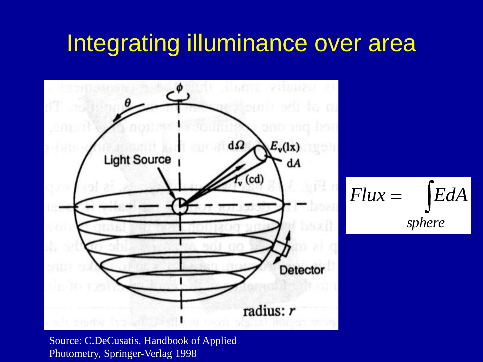#### Integrating illuminance over area



*sphere*  $\vert$ *Flux* =  $\vert$ *EdA* 

Source: C.DeCusatis, Handbook of Applied Photometry, Springer-Verlag 1998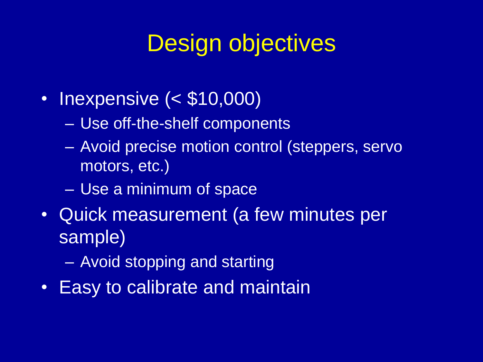# Design objectives

- Inexpensive (< \$10,000)
	- Use off-the-shelf components
	- Avoid precise motion control (steppers, servo motors, etc.)
	- Use a minimum of space
- Quick measurement (a few minutes per sample)
	- Avoid stopping and starting
- Easy to calibrate and maintain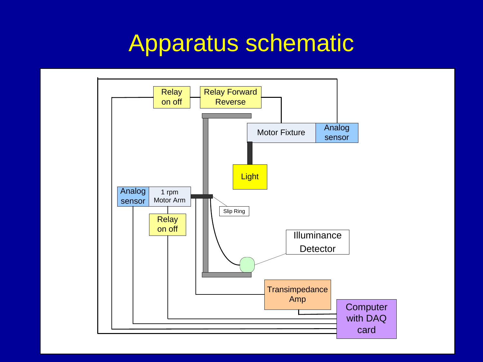#### Apparatus schematic

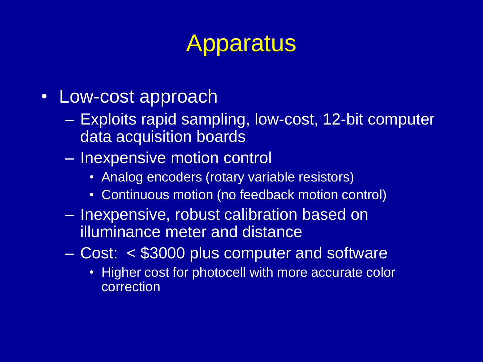# Apparatus

- Low-cost approach
	- Exploits rapid sampling, low-cost, 12-bit computer data acquisition boards
	- Inexpensive motion control
		- Analog encoders (rotary variable resistors)
		- Continuous motion (no feedback motion control)
	- Inexpensive, robust calibration based on illuminance meter and distance
	- Cost: < \$3000 plus computer and software
		- Higher cost for photocell with more accurate color correction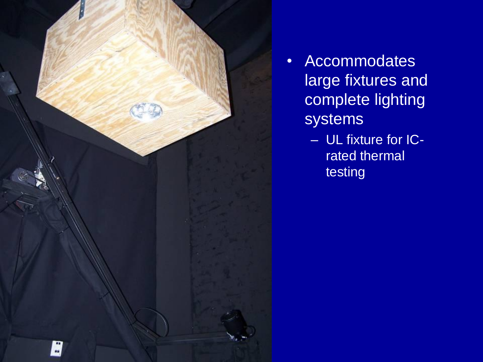

- Accommodates large fixtures and complete lighting systems
	- UL fixture for ICrated thermal testing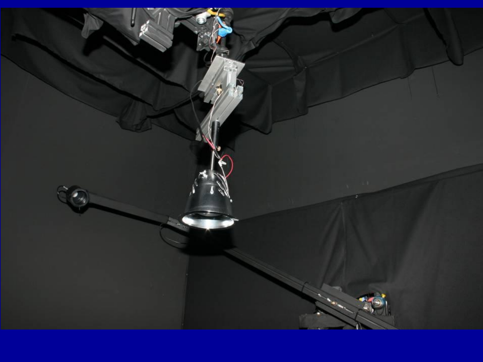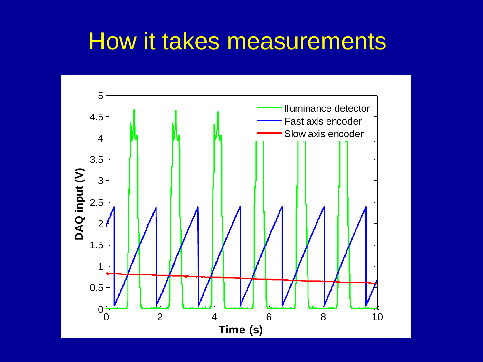#### How it takes measurements

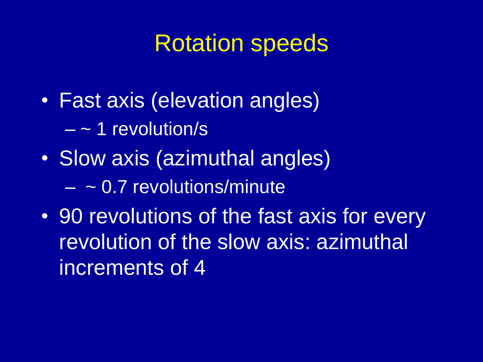# Rotation speeds

- Fast axis (elevation angles)  $-$  ~ 1 revolution/s
- Slow axis (azimuthal angles)
	- $\sim$  0.7 revolutions/minute
- 90 revolutions of the fast axis for every revolution of the slow axis: azimuthal increments of 4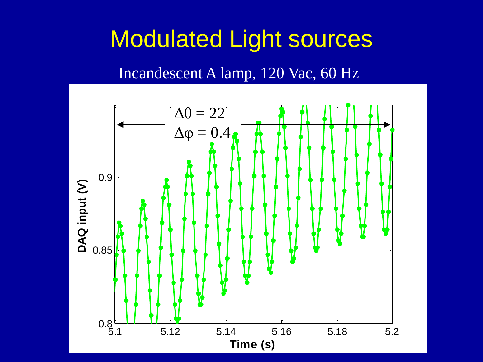### Modulated Light sources

Incandescent A lamp, 120 Vac, 60 Hz

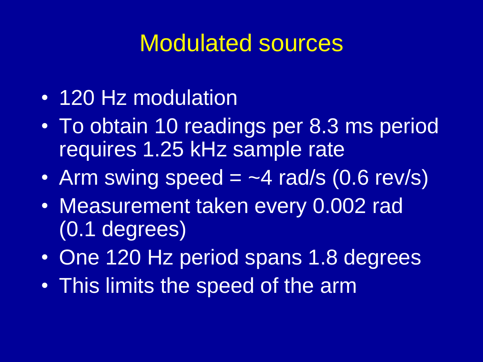## Modulated sources

- 120 Hz modulation
- To obtain 10 readings per 8.3 ms period requires 1.25 kHz sample rate
- Arm swing speed  $=$   $-4$  rad/s (0.6 rev/s)
- Measurement taken every 0.002 rad (0.1 degrees)
- One 120 Hz period spans 1.8 degrees
- This limits the speed of the arm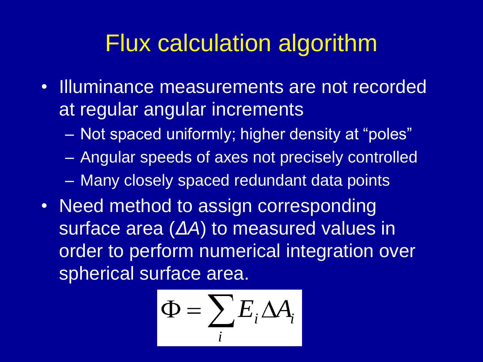## Flux calculation algorithm

- Illuminance measurements are not recorded at regular angular increments
	- Not spaced uniformly; higher density at "poles"
	- Angular speeds of axes not precisely controlled
	- Many closely spaced redundant data points
- Need method to assign corresponding surface area (*ΔA*) to measured values in order to perform numerical integration over spherical surface area.

$$
\Phi = \sum_i E_i \Delta A_i
$$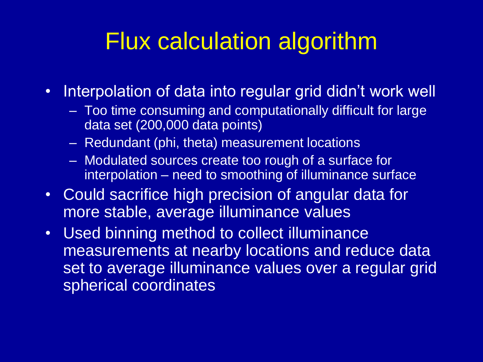# Flux calculation algorithm

- Interpolation of data into regular grid didn't work well
	- Too time consuming and computationally difficult for large data set (200,000 data points)
	- Redundant (phi, theta) measurement locations
	- Modulated sources create too rough of a surface for interpolation – need to smoothing of illuminance surface
- Could sacrifice high precision of angular data for more stable, average illuminance values
- Used binning method to collect illuminance measurements at nearby locations and reduce data set to average illuminance values over a regular grid spherical coordinates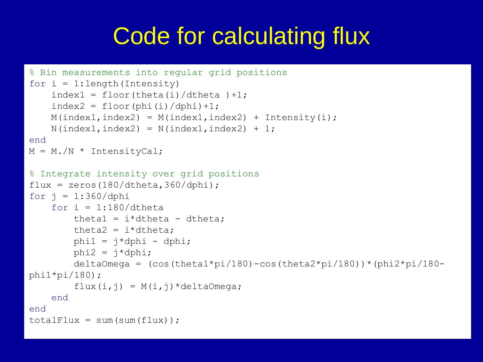# Code for calculating flux

```
% Bin measurements into regular grid positions
for i = 1: length (Intensity)
    index1 = floor(theta(i)/dtheta(i) +1;index2 = floor(phi(i)/dphi)+1;M(index1,index2) = M(index1,index2) + Intensity(i);N(index1,index2) = N(index1,index2) + 1;end
M = M. / N * IntensityCal;
% Integrate intensity over grid positions
flux = zeros(180/dtheta, 360/dphi);
for j = 1:360/dphifor i = 1:180/dtheta
        theta1 = i *dtheta - dtheta;
        theta2 = i*dtheta;
        phi1 = \dot{\tau}*dphi - dphi;
        phi2 = \dot{\tau} *dphi;
        deltaOmega = (cos (theta1*pi/180) - cos (theta2*pi/180)) * (phi2*pi/180-phi1*pi/180;
        flux(i,i) = M(i,i)*deltaOmega,end
end
totalFlux = sum(sum(flux));
```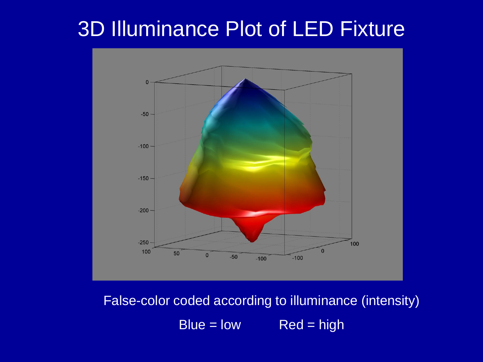#### 3D Illuminance Plot of LED Fixture



False-color coded according to illuminance (intensity)  $Blue = low$   $Red = high$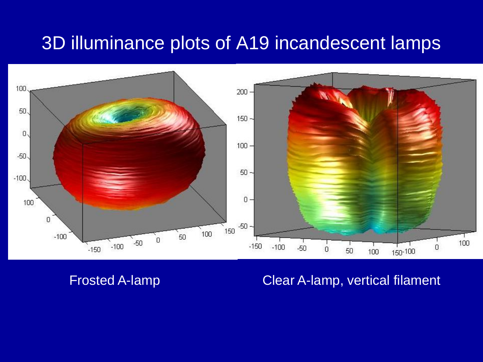#### 3D illuminance plots of A19 incandescent lamps



Frosted A-lamp Clear A-lamp, vertical filament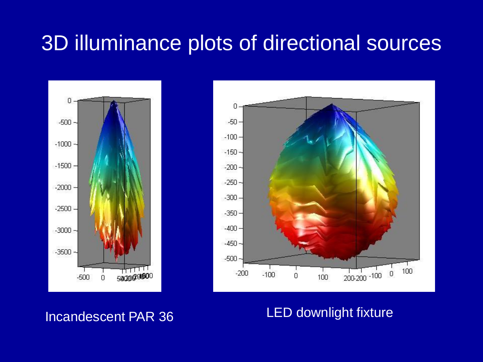#### 3D illuminance plots of directional sources





#### Incandescent PAR 36 LED downlight fixture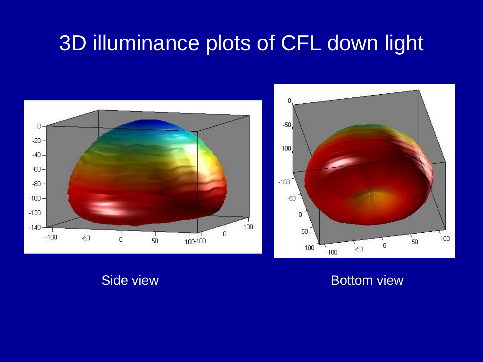#### 3D illuminance plots of CFL down light





Side view **Bottom view** Bottom view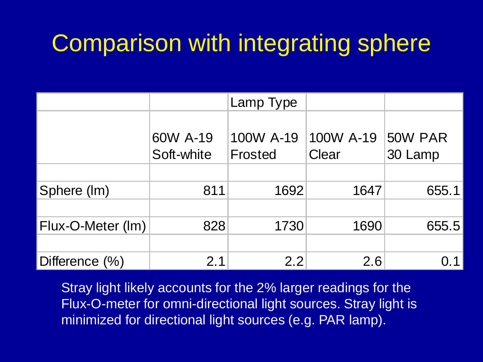# Comparison with integrating sphere

|                   |                        | Lamp Type            |                    |                    |
|-------------------|------------------------|----------------------|--------------------|--------------------|
|                   | 60W A-19<br>Soft-white | 100W A-19<br>Frosted | 100W A-19<br>Clear | 50W PAR<br>30 Lamp |
|                   |                        |                      |                    |                    |
| Sphere (Im)       | 811                    | 1692                 | 1647               | 655.1              |
|                   |                        |                      |                    |                    |
| Flux-O-Meter (Im) | 828                    | 1730                 | 1690               | 655.5              |
|                   |                        |                      |                    |                    |
| Difference (%)    | 2.1                    | 2.2                  | 2.6                |                    |

Stray light likely accounts for the 2% larger readings for the Flux-O-meter for omni-directional light sources. Stray light is minimized for directional light sources (e.g. PAR lamp).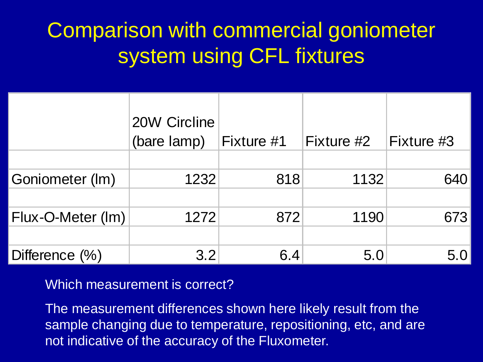#### Comparison with commercial goniometer system using CFL fixtures

|                   | 20W Circline<br>(bare lamp) | Fixture #1 | Fixture #2 | $ Fix$ ture #3 |
|-------------------|-----------------------------|------------|------------|----------------|
|                   |                             |            |            |                |
| Goniometer (Im)   | 1232                        | 818        | 1132       | 640            |
|                   |                             |            |            |                |
| Flux-O-Meter (Im) | 1272                        | 872        | 1190       | 673            |
|                   |                             |            |            |                |
| Difference (%)    | 3.2                         | 6.4        | 5.0        | 5.0            |

Which measurement is correct?

The measurement differences shown here likely result from the sample changing due to temperature, repositioning, etc, and are not indicative of the accuracy of the Fluxometer.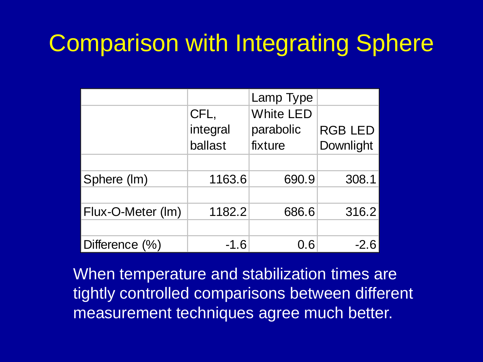# Comparison with Integrating Sphere

|                   |          | Lamp Type        |                |
|-------------------|----------|------------------|----------------|
|                   | CFL,     | <b>White LED</b> |                |
|                   | integral | parabolic        | <b>RGB LED</b> |
|                   | ballast  | fixture          | Downlight      |
|                   |          |                  |                |
| Sphere (Im)       | 1163.6   | 690.9            | 308.1          |
|                   |          |                  |                |
| Flux-O-Meter (lm) | 1182.2   | 686.6            | 316.2          |
|                   |          |                  |                |
| Difference (%)    | $-1.6$   | 0.6              | $-2.6$         |

When temperature and stabilization times are tightly controlled comparisons between different measurement techniques agree much better.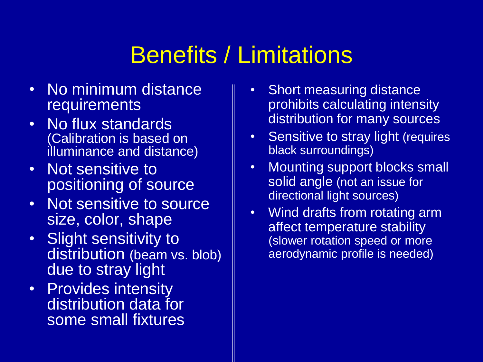# Benefits / Limitations

- No minimum distance **requirements**
- No flux standards (Calibration is based on illuminance and distance)
- Not sensitive to positioning of source
- Not sensitive to source size, color, shape
- Slight sensitivity to distribution (beam vs. blob) due to stray light
- Provides intensity distribution data for some small fixtures
- Short measuring distance prohibits calculating intensity distribution for many sources
- Sensitive to stray light (requires black surroundings)
- Mounting support blocks small solid angle (not an issue for directional light sources)
- Wind drafts from rotating arm affect temperature stability (slower rotation speed or more aerodynamic profile is needed)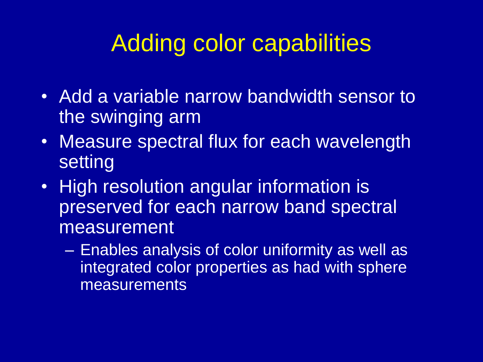# Adding color capabilities

- Add a variable narrow bandwidth sensor to the swinging arm
- Measure spectral flux for each wavelength setting
- High resolution angular information is preserved for each narrow band spectral measurement
	- Enables analysis of color uniformity as well as integrated color properties as had with sphere **measurements**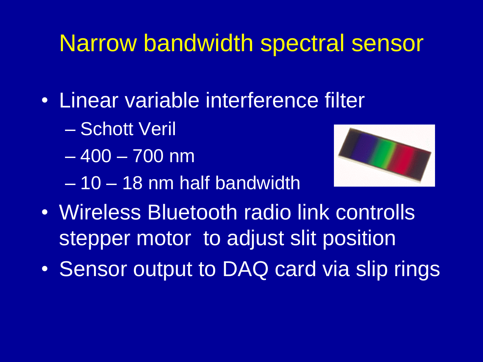#### Narrow bandwidth spectral sensor

- Linear variable interference filter
	- Schott Veril
	- 400 700 nm



- 10 18 nm half bandwidth
- Wireless Bluetooth radio link controlls stepper motor to adjust slit position
- Sensor output to DAQ card via slip rings